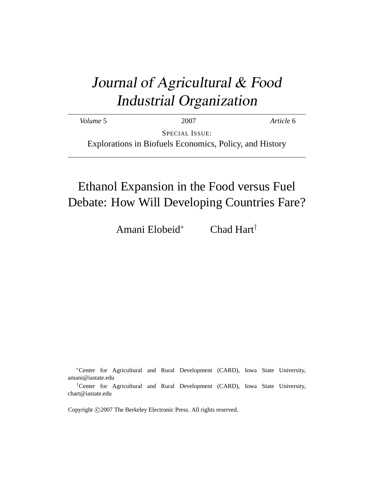# Journal of Agricultural & Food Industrial Organization

*Volume* 5 2007 *Article* 6

SPECIAL ISSUE: Explorations in Biofuels Economics, Policy, and History

# Ethanol Expansion in the Food versus Fuel Debate: How Will Developing Countries Fare?

Amani Elobeid<sup>∗</sup> Chad Hart†

<sup>∗</sup>Center for Agricultural and Rural Development (CARD), Iowa State University, amani@iastate.edu

Copyright © 2007 The Berkeley Electronic Press. All rights reserved.

<sup>†</sup>Center for Agricultural and Rural Development (CARD), Iowa State University, chart@iastate.edu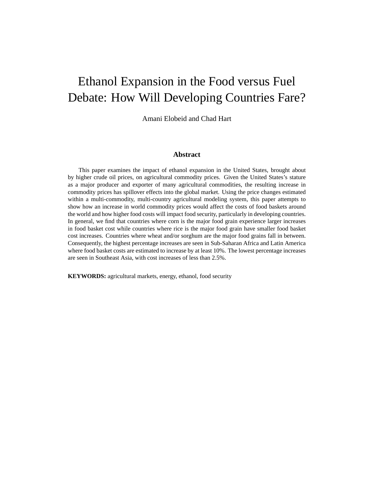# Ethanol Expansion in the Food versus Fuel Debate: How Will Developing Countries Fare?

Amani Elobeid and Chad Hart

#### **Abstract**

This paper examines the impact of ethanol expansion in the United States, brought about by higher crude oil prices, on agricultural commodity prices. Given the United States's stature as a major producer and exporter of many agricultural commodities, the resulting increase in commodity prices has spillover effects into the global market. Using the price changes estimated within a multi-commodity, multi-country agricultural modeling system, this paper attempts to show how an increase in world commodity prices would affect the costs of food baskets around the world and how higher food costs will impact food security, particularly in developing countries. In general, we find that countries where corn is the major food grain experience larger increases in food basket cost while countries where rice is the major food grain have smaller food basket cost increases. Countries where wheat and/or sorghum are the major food grains fall in between. Consequently, the highest percentage increases are seen in Sub-Saharan Africa and Latin America where food basket costs are estimated to increase by at least 10%. The lowest percentage increases are seen in Southeast Asia, with cost increases of less than 2.5%.

**KEYWORDS:** agricultural markets, energy, ethanol, food security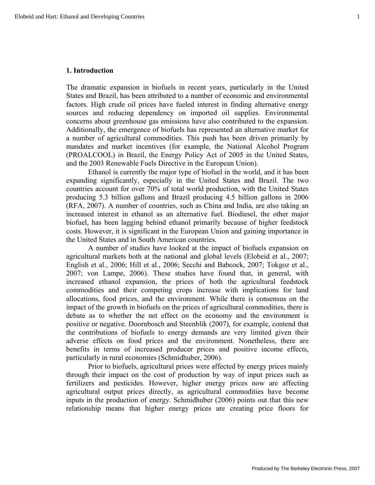#### **1. Introduction**

The dramatic expansion in biofuels in recent years, particularly in the United States and Brazil, has been attributed to a number of economic and environmental factors. High crude oil prices have fueled interest in finding alternative energy sources and reducing dependency on imported oil supplies. Environmental concerns about greenhouse gas emissions have also contributed to the expansion. Additionally, the emergence of biofuels has represented an alternative market for a number of agricultural commodities. This push has been driven primarily by mandates and market incentives (for example, the National Alcohol Program (PROALCOOL) in Brazil, the Energy Policy Act of 2005 in the United States, and the 2003 Renewable Fuels Directive in the European Union).

Ethanol is currently the major type of biofuel in the world, and it has been expanding significantly, especially in the United States and Brazil. The two countries account for over 70% of total world production, with the United States producing 5.3 billion gallons and Brazil producing 4.5 billion gallons in 2006 (RFA, 2007). A number of countries, such as China and India, are also taking an increased interest in ethanol as an alternative fuel. Biodiesel, the other major biofuel, has been lagging behind ethanol primarily because of higher feedstock costs. However, it is significant in the European Union and gaining importance in the United States and in South American countries.

A number of studies have looked at the impact of biofuels expansion on agricultural markets both at the national and global levels (Elobeid et al., 2007; English et al., 2006; Hill et al., 2006; Secchi and Babcock, 2007; Tokgoz et al., 2007; von Lampe, 2006). These studies have found that, in general, with increased ethanol expansion, the prices of both the agricultural feedstock commodities and their competing crops increase with implications for land allocations, food prices, and the environment. While there is consensus on the impact of the growth in biofuels on the prices of agricultural commodities, there is debate as to whether the net effect on the economy and the environment is positive or negative. Doornbosch and Steenblik (2007), for example, contend that the contributions of biofuels to energy demands are very limited given their adverse effects on food prices and the environment. Nonetheless, there are benefits in terms of increased producer prices and positive income effects, particularly in rural economies (Schmidhuber, 2006).

Prior to biofuels, agricultural prices were affected by energy prices mainly through their impact on the cost of production by way of input prices such as fertilizers and pesticides. However, higher energy prices now are affecting agricultural output prices directly, as agricultural commodities have become inputs in the production of energy. Schmidhuber (2006) points out that this new relationship means that higher energy prices are creating price floors for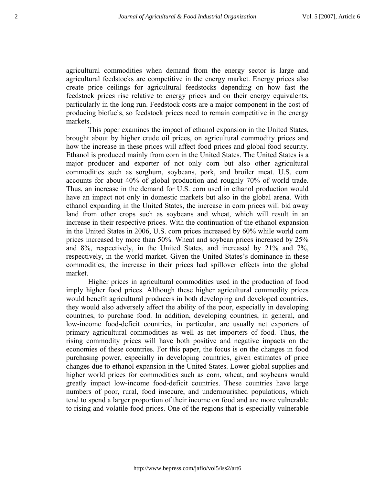agricultural commodities when demand from the energy sector is large and agricultural feedstocks are competitive in the energy market. Energy prices also create price ceilings for agricultural feedstocks depending on how fast the feedstock prices rise relative to energy prices and on their energy equivalents, particularly in the long run. Feedstock costs are a major component in the cost of producing biofuels, so feedstock prices need to remain competitive in the energy markets.

This paper examines the impact of ethanol expansion in the United States, brought about by higher crude oil prices, on agricultural commodity prices and how the increase in these prices will affect food prices and global food security. Ethanol is produced mainly from corn in the United States. The United States is a major producer and exporter of not only corn but also other agricultural commodities such as sorghum, soybeans, pork, and broiler meat. U.S. corn accounts for about 40% of global production and roughly 70% of world trade. Thus, an increase in the demand for U.S. corn used in ethanol production would have an impact not only in domestic markets but also in the global arena. With ethanol expanding in the United States, the increase in corn prices will bid away land from other crops such as soybeans and wheat, which will result in an increase in their respective prices. With the continuation of the ethanol expansion in the United States in 2006, U.S. corn prices increased by 60% while world corn prices increased by more than 50%. Wheat and soybean prices increased by 25% and 8%, respectively, in the United States, and increased by 21% and 7%, respectively, in the world market. Given the United States's dominance in these commodities, the increase in their prices had spillover effects into the global market.

Higher prices in agricultural commodities used in the production of food imply higher food prices. Although these higher agricultural commodity prices would benefit agricultural producers in both developing and developed countries, they would also adversely affect the ability of the poor, especially in developing countries, to purchase food. In addition, developing countries, in general, and low-income food-deficit countries, in particular, are usually net exporters of primary agricultural commodities as well as net importers of food. Thus, the rising commodity prices will have both positive and negative impacts on the economies of these countries. For this paper, the focus is on the changes in food purchasing power, especially in developing countries, given estimates of price changes due to ethanol expansion in the United States. Lower global supplies and higher world prices for commodities such as corn, wheat, and soybeans would greatly impact low-income food-deficit countries. These countries have large numbers of poor, rural, food insecure, and undernourished populations, which tend to spend a larger proportion of their income on food and are more vulnerable to rising and volatile food prices. One of the regions that is especially vulnerable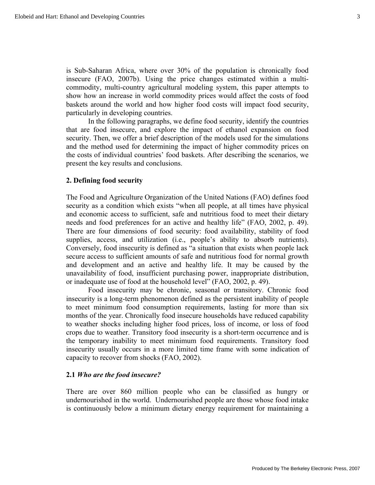is Sub-Saharan Africa, where over 30% of the population is chronically food insecure (FAO, 2007b). Using the price changes estimated within a multicommodity, multi-country agricultural modeling system, this paper attempts to show how an increase in world commodity prices would affect the costs of food baskets around the world and how higher food costs will impact food security, particularly in developing countries.

In the following paragraphs, we define food security, identify the countries that are food insecure, and explore the impact of ethanol expansion on food security. Then, we offer a brief description of the models used for the simulations and the method used for determining the impact of higher commodity prices on the costs of individual countries' food baskets. After describing the scenarios, we present the key results and conclusions.

#### **2. Defining food security**

The Food and Agriculture Organization of the United Nations (FAO) defines food security as a condition which exists "when all people, at all times have physical and economic access to sufficient, safe and nutritious food to meet their dietary needs and food preferences for an active and healthy life" (FAO, 2002, p. 49). There are four dimensions of food security: food availability, stability of food supplies, access, and utilization (i.e., people's ability to absorb nutrients). Conversely, food insecurity is defined as "a situation that exists when people lack secure access to sufficient amounts of safe and nutritious food for normal growth and development and an active and healthy life. It may be caused by the unavailability of food, insufficient purchasing power, inappropriate distribution, or inadequate use of food at the household level" (FAO, 2002, p. 49).

Food insecurity may be chronic, seasonal or transitory. Chronic food insecurity is a long-term phenomenon defined as the persistent inability of people to meet minimum food consumption requirements, lasting for more than six months of the year. Chronically food insecure households have reduced capability to weather shocks including higher food prices, loss of income, or loss of food crops due to weather. Transitory food insecurity is a short-term occurrence and is the temporary inability to meet minimum food requirements. Transitory food insecurity usually occurs in a more limited time frame with some indication of capacity to recover from shocks (FAO, 2002).

#### **2.1** *Who are the food insecure?*

There are over 860 million people who can be classified as hungry or undernourished in the world. Undernourished people are those whose food intake is continuously below a minimum dietary energy requirement for maintaining a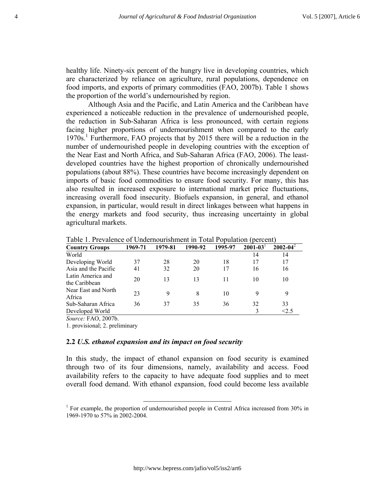healthy life. Ninety-six percent of the hungry live in developing countries, which are characterized by reliance on agriculture, rural populations, dependence on food imports, and exports of primary commodities (FAO, 2007b). Table 1 shows the proportion of the world's undernourished by region.

Although Asia and the Pacific, and Latin America and the Caribbean have experienced a noticeable reduction in the prevalence of undernourished people, the reduction in Sub-Saharan Africa is less pronounced, with certain regions facing higher proportions of undernourishment when compared to the early 1970s.<sup>1</sup> Furthermore, FAO projects that by 2015 there will be a reduction in the number of undernourished people in developing countries with the exception of the Near East and North Africa, and Sub-Saharan Africa (FAO, 2006). The leastdeveloped countries have the highest proportion of chronically undernourished populations (about 88%). These countries have become increasingly dependent on imports of basic food commodities to ensure food security. For many, this has also resulted in increased exposure to international market price fluctuations, increasing overall food insecurity. Biofuels expansion, in general, and ethanol expansion, in particular, would result in direct linkages between what happens in the energy markets and food security, thus increasing uncertainty in global agricultural markets.

| <b>Country Groups</b>                                                                  | 1969-71 | 1979-81 | 1990-92 | 1995-97 | $2001 - 03$ | $2002 - 04^2$ |
|----------------------------------------------------------------------------------------|---------|---------|---------|---------|-------------|---------------|
| World                                                                                  |         |         |         |         | 14          | 14            |
| Developing World                                                                       | 37      | 28      | 20      | 18      | 17          | 17            |
| Asia and the Pacific                                                                   | 41      | 32      | 20      | 17      | 16          | 16            |
| Latin America and<br>the Caribbean                                                     | 20      | 13      | 13      | 11      | 10          | 10            |
| Near East and North<br>Africa                                                          | 23      | 9       | 8       | 10      | 9           | 9             |
| Sub-Saharan Africa                                                                     | 36      | 37      | 35      | 36      | 32          | 33            |
| Developed World                                                                        |         |         |         |         | 3           | < 2.5         |
| $\Gamma$ $\Lambda$ $\Omega$ $\Omega$ $\overline{\Omega}$ $\overline{\Omega}$<br>$\sim$ |         |         |         |         |             |               |

Table 1. Prevalence of Undernourishment in Total Population (percent)

*Source:* FAO, 2007b.

1. provisional; 2. preliminary

#### **2.2** *U.S. ethanol expansion and its impact on food security*

In this study, the impact of ethanol expansion on food security is examined through two of its four dimensions, namely, availability and access. Food availability refers to the capacity to have adequate food supplies and to meet overall food demand. With ethanol expansion, food could become less available

<sup>&</sup>lt;sup>1</sup> For example, the proportion of undernourished people in Central Africa increased from 30% in 1969-1970 to 57% in 2002-2004.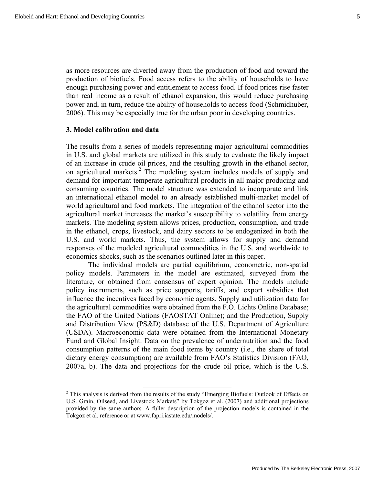as more resources are diverted away from the production of food and toward the production of biofuels. Food access refers to the ability of households to have enough purchasing power and entitlement to access food. If food prices rise faster than real income as a result of ethanol expansion, this would reduce purchasing power and, in turn, reduce the ability of households to access food (Schmidhuber, 2006). This may be especially true for the urban poor in developing countries.

#### **3. Model calibration and data**

The results from a series of models representing major agricultural commodities in U.S. and global markets are utilized in this study to evaluate the likely impact of an increase in crude oil prices, and the resulting growth in the ethanol sector, on agricultural markets.<sup>2</sup> The modeling system includes models of supply and demand for important temperate agricultural products in all major producing and consuming countries. The model structure was extended to incorporate and link an international ethanol model to an already established multi-market model of world agricultural and food markets. The integration of the ethanol sector into the agricultural market increases the market's susceptibility to volatility from energy markets. The modeling system allows prices, production, consumption, and trade in the ethanol, crops, livestock, and dairy sectors to be endogenized in both the U.S. and world markets. Thus, the system allows for supply and demand responses of the modeled agricultural commodities in the U.S. and worldwide to economics shocks, such as the scenarios outlined later in this paper.

The individual models are partial equilibrium, econometric, non-spatial policy models. Parameters in the model are estimated, surveyed from the literature, or obtained from consensus of expert opinion. The models include policy instruments, such as price supports, tariffs, and export subsidies that influence the incentives faced by economic agents. Supply and utilization data for the agricultural commodities were obtained from the F.O. Lichts Online Database; the FAO of the United Nations (FAOSTAT Online); and the Production, Supply and Distribution View (PS&D) database of the U.S. Department of Agriculture (USDA). Macroeconomic data were obtained from the International Monetary Fund and Global Insight. Data on the prevalence of undernutrition and the food consumption patterns of the main food items by country (i.e., the share of total dietary energy consumption) are available from FAO's Statistics Division (FAO, 2007a, b). The data and projections for the crude oil price, which is the U.S.

<sup>&</sup>lt;sup>2</sup> This analysis is derived from the results of the study "Emerging Biofuels: Outlook of Effects on U.S. Grain, Oilseed, and Livestock Markets" by Tokgoz et al. (2007) and additional projections provided by the same authors. A fuller description of the projection models is contained in the Tokgoz et al. reference or at www.fapri.iastate.edu/models/.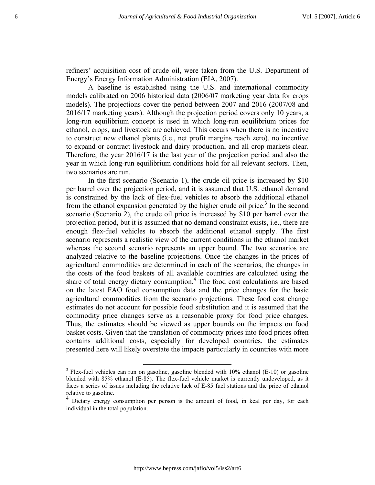refiners' acquisition cost of crude oil, were taken from the U.S. Department of Energy's Energy Information Administration (EIA, 2007).

A baseline is established using the U.S. and international commodity models calibrated on 2006 historical data (2006/07 marketing year data for crops models). The projections cover the period between 2007 and 2016 (2007/08 and 2016/17 marketing years). Although the projection period covers only 10 years, a long-run equilibrium concept is used in which long-run equilibrium prices for ethanol, crops, and livestock are achieved. This occurs when there is no incentive to construct new ethanol plants (i.e., net profit margins reach zero), no incentive to expand or contract livestock and dairy production, and all crop markets clear. Therefore, the year 2016/17 is the last year of the projection period and also the year in which long-run equilibrium conditions hold for all relevant sectors. Then, two scenarios are run.

In the first scenario (Scenario 1), the crude oil price is increased by \$10 per barrel over the projection period, and it is assumed that U.S. ethanol demand is constrained by the lack of flex-fuel vehicles to absorb the additional ethanol from the ethanol expansion generated by the higher crude oil price.<sup>3</sup> In the second scenario (Scenario 2), the crude oil price is increased by \$10 per barrel over the projection period, but it is assumed that no demand constraint exists, i.e., there are enough flex-fuel vehicles to absorb the additional ethanol supply. The first scenario represents a realistic view of the current conditions in the ethanol market whereas the second scenario represents an upper bound. The two scenarios are analyzed relative to the baseline projections. Once the changes in the prices of agricultural commodities are determined in each of the scenarios, the changes in the costs of the food baskets of all available countries are calculated using the share of total energy dietary consumption.<sup>4</sup> The food cost calculations are based on the latest FAO food consumption data and the price changes for the basic agricultural commodities from the scenario projections. These food cost change estimates do not account for possible food substitution and it is assumed that the commodity price changes serve as a reasonable proxy for food price changes. Thus, the estimates should be viewed as upper bounds on the impacts on food basket costs. Given that the translation of commodity prices into food prices often contains additional costs, especially for developed countries, the estimates presented here will likely overstate the impacts particularly in countries with more

<sup>&</sup>lt;sup>3</sup> Flex-fuel vehicles can run on gasoline, gasoline blended with 10% ethanol (E-10) or gasoline blended with 85% ethanol (E-85). The flex-fuel vehicle market is currently undeveloped, as it faces a series of issues including the relative lack of E-85 fuel stations and the price of ethanol relative to gasoline.

Dietary energy consumption per person is the amount of food, in kcal per day, for each individual in the total population.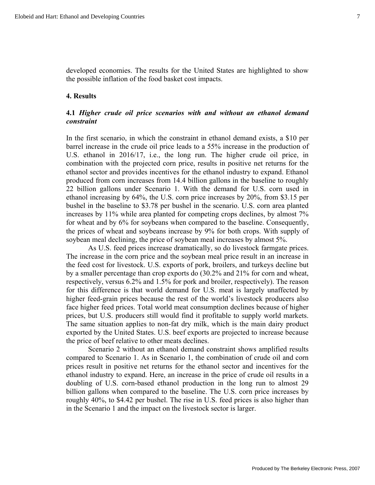developed economies. The results for the United States are highlighted to show the possible inflation of the food basket cost impacts.

### **4. Results**

### **4.1** *Higher crude oil price scenarios with and without an ethanol demand constraint*

In the first scenario, in which the constraint in ethanol demand exists, a \$10 per barrel increase in the crude oil price leads to a 55% increase in the production of U.S. ethanol in 2016/17, i.e., the long run. The higher crude oil price, in combination with the projected corn price, results in positive net returns for the ethanol sector and provides incentives for the ethanol industry to expand. Ethanol produced from corn increases from 14.4 billion gallons in the baseline to roughly 22 billion gallons under Scenario 1. With the demand for U.S. corn used in ethanol increasing by 64%, the U.S. corn price increases by 20%, from \$3.15 per bushel in the baseline to \$3.78 per bushel in the scenario. U.S. corn area planted increases by 11% while area planted for competing crops declines, by almost 7% for wheat and by 6% for soybeans when compared to the baseline. Consequently, the prices of wheat and soybeans increase by 9% for both crops. With supply of soybean meal declining, the price of soybean meal increases by almost 5%.

As U.S. feed prices increase dramatically, so do livestock farmgate prices. The increase in the corn price and the soybean meal price result in an increase in the feed cost for livestock. U.S. exports of pork, broilers, and turkeys decline but by a smaller percentage than crop exports do (30.2% and 21% for corn and wheat, respectively, versus 6.2% and 1.5% for pork and broiler, respectively). The reason for this difference is that world demand for U.S. meat is largely unaffected by higher feed-grain prices because the rest of the world's livestock producers also face higher feed prices. Total world meat consumption declines because of higher prices, but U.S. producers still would find it profitable to supply world markets. The same situation applies to non-fat dry milk, which is the main dairy product exported by the United States. U.S. beef exports are projected to increase because the price of beef relative to other meats declines.

Scenario 2 without an ethanol demand constraint shows amplified results compared to Scenario 1. As in Scenario 1, the combination of crude oil and corn prices result in positive net returns for the ethanol sector and incentives for the ethanol industry to expand. Here, an increase in the price of crude oil results in a doubling of U.S. corn-based ethanol production in the long run to almost 29 billion gallons when compared to the baseline. The U.S. corn price increases by roughly 40%, to \$4.42 per bushel. The rise in U.S. feed prices is also higher than in the Scenario 1 and the impact on the livestock sector is larger.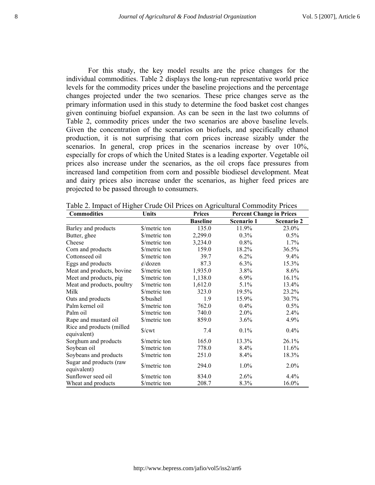For this study, the key model results are the price changes for the individual commodities. Table 2 displays the long-run representative world price levels for the commodity prices under the baseline projections and the percentage changes projected under the two scenarios. These price changes serve as the primary information used in this study to determine the food basket cost changes given continuing biofuel expansion. As can be seen in the last two columns of Table 2, commodity prices under the two scenarios are above baseline levels. Given the concentration of the scenarios on biofuels, and specifically ethanol production, it is not surprising that corn prices increase sizably under the scenarios. In general, crop prices in the scenarios increase by over 10%, especially for crops of which the United States is a leading exporter. Vegetable oil prices also increase under the scenarios, as the oil crops face pressures from increased land competition from corn and possible biodiesel development. Meat and dairy prices also increase under the scenarios, as higher feed prices are projected to be passed through to consumers.

| <b>Commodities</b>                        | <b>Units</b>    | <b>Prices</b>   | <b>Percent Change in Prices</b> |                   |
|-------------------------------------------|-----------------|-----------------|---------------------------------|-------------------|
|                                           |                 | <b>Baseline</b> | Scenario 1                      | <b>Scenario 2</b> |
| Barley and products                       | \$/metric ton   | 135.0           | 11.9%                           | 23.0%             |
| Butter, ghee                              | \$/metric ton   | 2,299.0         | $0.3\%$                         | $0.5\%$           |
| Cheese                                    | \$/metric ton   | 3,234.0         | $0.8\%$                         | 1.7%              |
| Corn and products                         | \$/metric ton   | 159.0           | 18.2%                           | 36.5%             |
| Cottonseed oil                            | \$/metric ton   | 39.7            | 6.2%                            | $9.4\%$           |
| Eggs and products                         | $\phi$ /dozen   | 87.3            | $6.3\%$                         | 15.3%             |
| Meat and products, bovine                 | \$/metric ton   | 1,935.0         | 3.8%                            | 8.6%              |
| Meet and products, pig                    | \$/metric ton   | 1,138.0         | $6.9\%$                         | 16.1%             |
| Meat and products, poultry                | \$/metric ton   | 1,612.0         | $5.1\%$                         | 13.4%             |
| Milk                                      | \$/metric ton   | 323.0           | 19.5%                           | 23.2%             |
| Oats and products                         | \$/bushel       | 1.9             | 15.9%                           | 30.7%             |
| Palm kernel oil                           | \$/metric ton   | 762.0           | $0.4\%$                         | $0.5\%$           |
| Palm oil                                  | \$/metric ton   | 740.0           | $2.0\%$                         | 2.4%              |
| Rape and mustard oil                      | \$/metric ton   | 859.0           | 3.6%                            | 4.9%              |
| Rice and products (milled)<br>equivalent) | $\sqrt{$}$ /cwt | 7.4             | $0.1\%$                         | 0.4%              |
| Sorghum and products                      | \$/metric ton   | 165.0           | 13.3%                           | 26.1%             |
| Soybean oil                               | \$/metric ton   | 778.0           | 8.4%                            | 11.6%             |
| Soybeans and products                     | \$/metric ton   | 251.0           | 8.4%                            | 18.3%             |
| Sugar and products (raw<br>equivalent)    | \$/metric ton   | 294.0           | 1.0%                            | 2.0%              |
| Sunflower seed oil                        | \$/metric ton   | 834.0           | 2.6%                            | 4.4%              |
| Wheat and products                        | \$/metric ton   | 208.7           | 8.3%                            | 16.0%             |

Table 2. Impact of Higher Crude Oil Prices on Agricultural Commodity Prices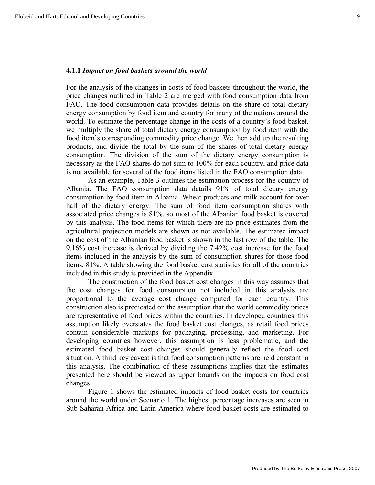#### **4.1.1** *Impact on food baskets around the world*

For the analysis of the changes in costs of food baskets throughout the world, the price changes outlined in Table 2 are merged with food consumption data from FAO. The food consumption data provides details on the share of total dietary energy consumption by food item and country for many of the nations around the world. To estimate the percentage change in the costs of a country's food basket, we multiply the share of total dietary energy consumption by food item with the food item's corresponding commodity price change. We then add up the resulting products, and divide the total by the sum of the shares of total dietary energy consumption. The division of the sum of the dietary energy consumption is necessary as the FAO shares do not sum to 100% for each country, and price data is not available for several of the food items listed in the FAO consumption data.

As an example, Table 3 outlines the estimation process for the country of Albania. The FAO consumption data details 91% of total dietary energy consumption by food item in Albania. Wheat products and milk account for over half of the dietary energy. The sum of food item consumption shares with associated price changes is 81%, so most of the Albanian food basket is covered by this analysis. The food items for which there are no price estimates from the agricultural projection models are shown as not available. The estimated impact on the cost of the Albanian food basket is shown in the last row of the table. The 9.16% cost increase is derived by dividing the 7.42% cost increase for the food items included in the analysis by the sum of consumption shares for those food items, 81%. A table showing the food basket cost statistics for all of the countries included in this study is provided in the Appendix.

The construction of the food basket cost changes in this way assumes that the cost changes for food consumption not included in this analysis are proportional to the average cost change computed for each country. This construction also is predicated on the assumption that the world commodity prices are representative of food prices within the countries. In developed countries, this assumption likely overstates the food basket cost changes, as retail food prices contain considerable markups for packaging, processing, and marketing. For developing countries however, this assumption is less problematic, and the estimated food basket cost changes should generally reflect the food cost situation. A third key caveat is that food consumption patterns are held constant in this analysis. The combination of these assumptions implies that the estimates presented here should be viewed as upper bounds on the impacts on food cost changes.

Figure 1 shows the estimated impacts of food basket costs for countries around the world under Scenario 1. The highest percentage increases are seen in Sub-Saharan Africa and Latin America where food basket costs are estimated to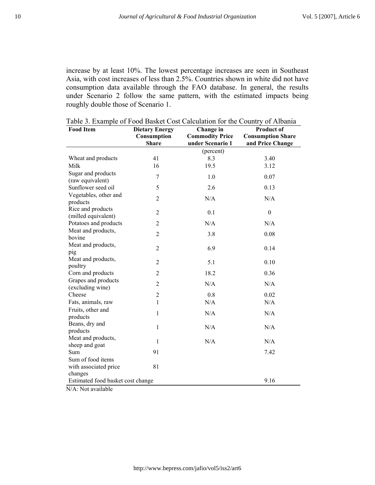increase by at least 10%. The lowest percentage increases are seen in Southeast Asia, with cost increases of less than 2.5%. Countries shown in white did not have consumption data available through the FAO database. In general, the results under Scenario 2 follow the same pattern, with the estimated impacts being roughly double those of Scenario 1.

| <b>Food Item</b>                                      | <b>Dietary Energy</b><br>Consumption | Change in<br><b>Commodity Price</b> | <b>Product of</b><br><b>Consumption Share</b> |
|-------------------------------------------------------|--------------------------------------|-------------------------------------|-----------------------------------------------|
|                                                       | <b>Share</b>                         | under Scenario 1                    | and Price Change                              |
|                                                       |                                      | (percent)                           |                                               |
| Wheat and products                                    | 41                                   | 8.3                                 | 3.40                                          |
| Milk                                                  | 16                                   | 19.5                                | 3.12                                          |
| Sugar and products<br>(raw equivalent)                | 7                                    | 1.0                                 | 0.07                                          |
| Sunflower seed oil                                    | 5                                    | 2.6                                 | 0.13                                          |
| Vegetables, other and<br>products                     | $\overline{2}$                       | N/A                                 | N/A                                           |
| Rice and products<br>(milled equivalent)              | $\overline{2}$                       | 0.1                                 | $\boldsymbol{0}$                              |
| Potatoes and products                                 | $\overline{2}$                       | N/A                                 | N/A                                           |
| Meat and products,<br>bovine                          | $\overline{2}$                       | 3.8                                 | 0.08                                          |
| Meat and products,<br>pig                             | $\overline{2}$                       | 6.9                                 | 0.14                                          |
| Meat and products,<br>poultry                         | $\overline{2}$                       | 5.1                                 | 0.10                                          |
| Corn and products                                     | $\overline{2}$                       | 18.2                                | 0.36                                          |
| Grapes and products<br>(excluding wine)               | $\overline{2}$                       | N/A                                 | N/A                                           |
| Cheese                                                | $\mathfrak{2}$                       | 0.8                                 | 0.02                                          |
| Fats, animals, raw                                    | 1                                    | N/A                                 | N/A                                           |
| Fruits, other and<br>products                         | 1                                    | N/A                                 | N/A                                           |
| Beans, dry and<br>products                            | $\mathbf{1}$                         | N/A                                 | N/A                                           |
| Meat and products,<br>sheep and goat                  | 1                                    | N/A                                 | N/A                                           |
| Sum                                                   | 91                                   |                                     | 7.42                                          |
| Sum of food items<br>with associated price<br>changes | 81                                   |                                     |                                               |
| Estimated food basket cost change                     |                                      |                                     | 9.16                                          |

Table 3. Example of Food Basket Cost Calculation for the Country of Albania

N/A: Not available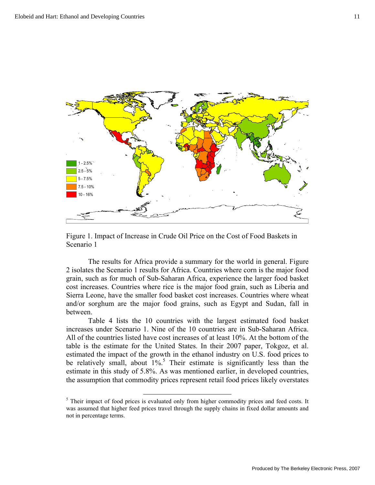

Figure 1. Impact of Increase in Crude Oil Price on the Cost of Food Baskets in Scenario 1

The results for Africa provide a summary for the world in general. Figure 2 isolates the Scenario 1 results for Africa. Countries where corn is the major food grain, such as for much of Sub-Saharan Africa, experience the larger food basket cost increases. Countries where rice is the major food grain, such as Liberia and Sierra Leone, have the smaller food basket cost increases. Countries where wheat and/or sorghum are the major food grains, such as Egypt and Sudan, fall in between.

Table 4 lists the 10 countries with the largest estimated food basket increases under Scenario 1. Nine of the 10 countries are in Sub-Saharan Africa. All of the countries listed have cost increases of at least 10%. At the bottom of the table is the estimate for the United States. In their 2007 paper, Tokgoz, et al. estimated the impact of the growth in the ethanol industry on U.S. food prices to be relatively small, about  $1\%$ <sup>5</sup>. Their estimate is significantly less than the estimate in this study of 5.8%. As was mentioned earlier, in developed countries, the assumption that commodity prices represent retail food prices likely overstates

<sup>&</sup>lt;sup>5</sup> Their impact of food prices is evaluated only from higher commodity prices and feed costs. It was assumed that higher feed prices travel through the supply chains in fixed dollar amounts and not in percentage terms.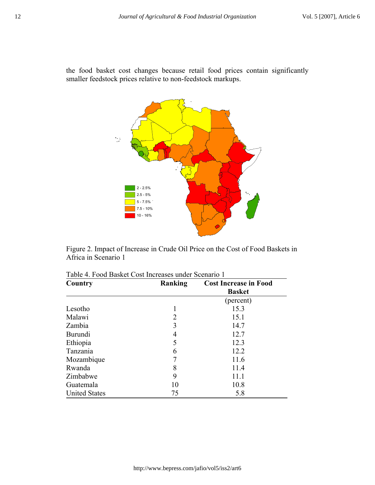the food basket cost changes because retail food prices contain significantly smaller feedstock prices relative to non-feedstock markups.



Figure 2. Impact of Increase in Crude Oil Price on the Cost of Food Baskets in Africa in Scenario 1

| Country              | Ranking | <b>Cost Increase in Food</b> |
|----------------------|---------|------------------------------|
|                      |         | <b>Basket</b>                |
|                      |         | (percent)                    |
| Lesotho              |         | 15.3                         |
| Malawi               | 2       | 15.1                         |
| Zambia               | 3       | 14.7                         |
| Burundi              | 4       | 12.7                         |
| Ethiopia             | 5       | 12.3                         |
| Tanzania             | 6       | 12.2                         |
| Mozambique           | 7       | 11.6                         |
| Rwanda               | 8       | 11.4                         |
| Zimbabwe             | 9       | 11.1                         |
| Guatemala            | 10      | 10.8                         |
| <b>United States</b> | 75      | 5.8                          |

| Table 4. Food Basket Cost Increases under Scenario 1 |  |  |
|------------------------------------------------------|--|--|
|------------------------------------------------------|--|--|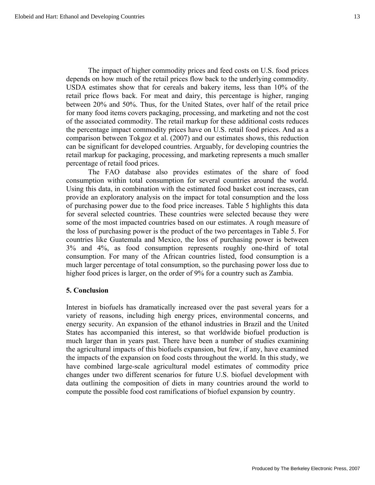The impact of higher commodity prices and feed costs on U.S. food prices depends on how much of the retail prices flow back to the underlying commodity. USDA estimates show that for cereals and bakery items, less than 10% of the retail price flows back. For meat and dairy, this percentage is higher, ranging between 20% and 50%. Thus, for the United States, over half of the retail price for many food items covers packaging, processing, and marketing and not the cost of the associated commodity. The retail markup for these additional costs reduces the percentage impact commodity prices have on U.S. retail food prices. And as a comparison between Tokgoz et al. (2007) and our estimates shows, this reduction can be significant for developed countries. Arguably, for developing countries the retail markup for packaging, processing, and marketing represents a much smaller percentage of retail food prices.

The FAO database also provides estimates of the share of food consumption within total consumption for several countries around the world. Using this data, in combination with the estimated food basket cost increases, can provide an exploratory analysis on the impact for total consumption and the loss of purchasing power due to the food price increases. Table 5 highlights this data for several selected countries. These countries were selected because they were some of the most impacted countries based on our estimates. A rough measure of the loss of purchasing power is the product of the two percentages in Table 5. For countries like Guatemala and Mexico, the loss of purchasing power is between 3% and 4%, as food consumption represents roughly one-third of total consumption. For many of the African countries listed, food consumption is a much larger percentage of total consumption, so the purchasing power loss due to higher food prices is larger, on the order of 9% for a country such as Zambia.

#### **5. Conclusion**

Interest in biofuels has dramatically increased over the past several years for a variety of reasons, including high energy prices, environmental concerns, and energy security. An expansion of the ethanol industries in Brazil and the United States has accompanied this interest, so that worldwide biofuel production is much larger than in years past. There have been a number of studies examining the agricultural impacts of this biofuels expansion, but few, if any, have examined the impacts of the expansion on food costs throughout the world. In this study, we have combined large-scale agricultural model estimates of commodity price changes under two different scenarios for future U.S. biofuel development with data outlining the composition of diets in many countries around the world to compute the possible food cost ramifications of biofuel expansion by country.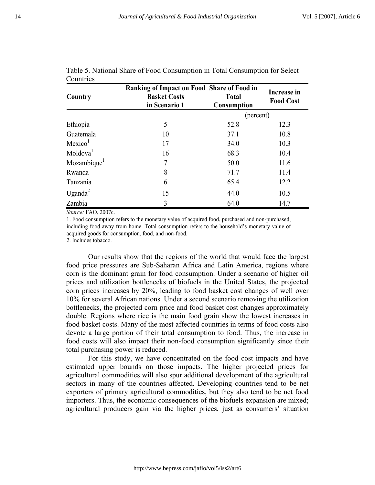| Country                 | Ranking of Impact on Food Share of Food in<br><b>Basket Costs</b><br>in Scenario 1 | <b>Total</b><br>Consumption | Increase in<br><b>Food Cost</b> |
|-------------------------|------------------------------------------------------------------------------------|-----------------------------|---------------------------------|
|                         |                                                                                    | (percent)                   |                                 |
| Ethiopia                | 5                                                                                  | 52.8                        | 12.3                            |
| Guatemala               | 10                                                                                 | 37.1                        | 10.8                            |
| Mexico <sup>1</sup>     | 17                                                                                 | 34.0                        | 10.3                            |
| Moldova <sup>1</sup>    | 16                                                                                 | 68.3                        | 10.4                            |
| Mozambique <sup>1</sup> | 7                                                                                  | 50.0                        | 11.6                            |
| Rwanda                  | 8                                                                                  | 71.7                        | 11.4                            |
| Tanzania                | 6                                                                                  | 65.4                        | 12.2                            |
| Uganda <sup>2</sup>     | 15                                                                                 | 44.0                        | 10.5                            |
| Zambia                  | 3                                                                                  | 64.0                        | 14.7                            |

Table 5. National Share of Food Consumption in Total Consumption for Select **Countries** 

*Source:* FAO, 2007c.

1. Food consumption refers to the monetary value of acquired food, purchased and non-purchased, including food away from home. Total consumption refers to the household's monetary value of acquired goods for consumption, food, and non-food.

2. Includes tobacco.

Our results show that the regions of the world that would face the largest food price pressures are Sub-Saharan Africa and Latin America, regions where corn is the dominant grain for food consumption. Under a scenario of higher oil prices and utilization bottlenecks of biofuels in the United States, the projected corn prices increases by 20%, leading to food basket cost changes of well over 10% for several African nations. Under a second scenario removing the utilization bottlenecks, the projected corn price and food basket cost changes approximately double. Regions where rice is the main food grain show the lowest increases in food basket costs. Many of the most affected countries in terms of food costs also devote a large portion of their total consumption to food. Thus, the increase in food costs will also impact their non-food consumption significantly since their total purchasing power is reduced.

For this study, we have concentrated on the food cost impacts and have estimated upper bounds on those impacts. The higher projected prices for agricultural commodities will also spur additional development of the agricultural sectors in many of the countries affected. Developing countries tend to be net exporters of primary agricultural commodities, but they also tend to be net food importers. Thus, the economic consequences of the biofuels expansion are mixed; agricultural producers gain via the higher prices, just as consumers' situation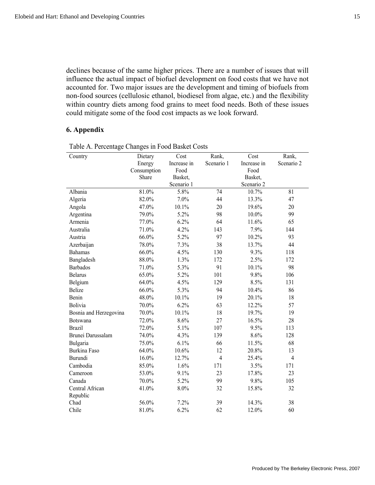declines because of the same higher prices. There are a number of issues that will influence the actual impact of biofuel development on food costs that we have not accounted for. Two major issues are the development and timing of biofuels from non-food sources (cellulosic ethanol, biodiesel from algae, etc.) and the flexibility within country diets among food grains to meet food needs. Both of these issues could mitigate some of the food cost impacts as we look forward.

### **6. Appendix**

|                        | ັ           |             |                |             |                |
|------------------------|-------------|-------------|----------------|-------------|----------------|
| Country                | Dietary     | Cost        | Rank,          | Cost        | Rank,          |
|                        | Energy      | Increase in | Scenario 1     | Increase in | Scenario 2     |
|                        | Consumption | Food        |                | Food        |                |
|                        | Share       | Basket,     |                | Basket,     |                |
|                        |             | Scenario 1  |                | Scenario 2  |                |
| Albania                | 81.0%       | 5.8%        | 74             | 10.7%       | 81             |
| Algeria                | 82.0%       | 7.0%        | 44             | 13.3%       | 47             |
| Angola                 | 47.0%       | 10.1%       | 20             | 19.6%       | 20             |
| Argentina              | 79.0%       | 5.2%        | 98             | $10.0\%$    | 99             |
| Armenia                | 77.0%       | 6.2%        | 64             | 11.6%       | 65             |
| Australia              | 71.0%       | 4.2%        | 143            | 7.9%        | 144            |
| Austria                | 66.0%       | 5.2%        | 97             | 10.2%       | 93             |
| Azerbaijan             | 78.0%       | 7.3%        | 38             | 13.7%       | 44             |
| <b>Bahamas</b>         | 66.0%       | 4.5%        | 130            | 9.3%        | 118            |
| Bangladesh             | 88.0%       | 1.3%        | 172            | 2.5%        | 172            |
| <b>Barbados</b>        | 71.0%       | 5.3%        | 91             | 10.1%       | 98             |
| <b>Belarus</b>         | 65.0%       | 5.2%        | 101            | 9.8%        | 106            |
| Belgium                | 64.0%       | 4.5%        | 129            | 8.5%        | 131            |
| <b>Belize</b>          | 66.0%       | 5.3%        | 94             | 10.4%       | 86             |
| Benin                  | 48.0%       | 10.1%       | 19             | 20.1%       | 18             |
| Bolivia                | 70.0%       | 6.2%        | 63             | 12.2%       | 57             |
| Bosnia and Herzegovina | 70.0%       | 10.1%       | 18             | 19.7%       | 19             |
| Botswana               | 72.0%       | 8.6%        | 27             | 16.5%       | 28             |
| <b>Brazil</b>          | 72.0%       | 5.1%        | 107            | 9.5%        | 113            |
| Brunei Darussalam      | 74.0%       | 4.3%        | 139            | 8.6%        | 128            |
| Bulgaria               | 75.0%       | 6.1%        | 66             | 11.5%       | 68             |
| Burkina Faso           | 64.0%       | 10.6%       | 12             | 20.8%       | 13             |
| Burundi                | 16.0%       | 12.7%       | $\overline{4}$ | 25.4%       | $\overline{4}$ |
| Cambodia               | 85.0%       | 1.6%        | 171            | 3.5%        | 171            |
| Cameroon               | 53.0%       | 9.1%        | 23             | 17.8%       | 23             |
| Canada                 | 70.0%       | 5.2%        | 99             | 9.8%        | 105            |
| Central African        | 41.0%       | 8.0%        | 32             | 15.8%       | 32             |
| Republic               |             |             |                |             |                |
| Chad                   | 56.0%       | 7.2%        | 39             | 14.3%       | 38             |
| Chile                  | 81.0%       | 6.2%        | 62             | 12.0%       | 60             |

Table A. Percentage Changes in Food Basket Costs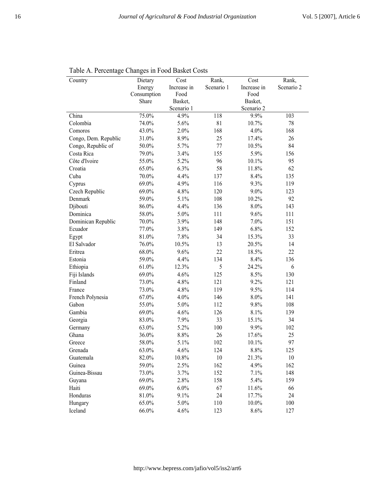| Country              | Dietary     | Cost        | Rank,      | Cost        | Rank,      |
|----------------------|-------------|-------------|------------|-------------|------------|
|                      | Energy      | Increase in | Scenario 1 | Increase in | Scenario 2 |
|                      | Consumption | Food        |            | Food        |            |
|                      | Share       | Basket,     |            | Basket,     |            |
|                      |             | Scenario 1  |            | Scenario 2  |            |
| China                | 75.0%       | 4.9%        | 118        | 9.9%        | 103        |
| Colombia             | 74.0%       | 5.6%        | 81         | 10.7%       | 78         |
| Comoros              | 43.0%       | 2.0%        | 168        | 4.0%        | 168        |
| Congo, Dem. Republic | 31.0%       | 8.9%        | 25         | 17.4%       | 26         |
| Congo, Republic of   | 50.0%       | 5.7%        | 77         | 10.5%       | 84         |
| Costa Rica           | 79.0%       | 3.4%        | 155        | 5.9%        | 156        |
| Côte d'Ivoire        | 55.0%       | 5.2%        | 96         | 10.1%       | 95         |
| Croatia              | 65.0%       | 6.3%        | 58         | 11.8%       | 62         |
| Cuba                 | 70.0%       | 4.4%        | 137        | 8.4%        | 135        |
| Cyprus               | 69.0%       | 4.9%        | 116        | 9.3%        | 119        |
| Czech Republic       | 69.0%       | 4.8%        | 120        | 9.0%        | 123        |
| Denmark              | 59.0%       | 5.1%        | 108        | 10.2%       | 92         |
| Djibouti             | 86.0%       | 4.4%        | 136        | 8.0%        | 143        |
| Dominica             | 58.0%       | 5.0%        | 111        | 9.6%        | 111        |
| Dominican Republic   | 70.0%       | 3.9%        | 148        | 7.0%        | 151        |
| Ecuador              | 77.0%       | 3.8%        | 149        | 6.8%        | 152        |
| Egypt                | 81.0%       | 7.8%        | 34         | 15.3%       | 33         |
| El Salvador          | 76.0%       | 10.5%       | 13         | 20.5%       | 14         |
| Eritrea              | 68.0%       | 9.6%        | 22         | 18.5%       | 22         |
| Estonia              | 59.0%       | 4.4%        | 134        | 8.4%        | 136        |
| Ethiopia             | 61.0%       | 12.3%       | 5          | 24.2%       | 6          |
| Fiji Islands         | 69.0%       | 4.6%        | 125        | 8.5%        | 130        |
| Finland              | 73.0%       | 4.8%        | 121        | 9.2%        | 121        |
| France               | 73.0%       | 4.8%        | 119        | 9.5%        | 114        |
| French Polynesia     | 67.0%       | 4.0%        | 146        | 8.0%        | 141        |
| Gabon                | 55.0%       | 5.0%        | 112        | 9.8%        | 108        |
| Gambia               | 69.0%       | 4.6%        | 126        | 8.1%        | 139        |
| Georgia              | 83.0%       | 7.9%        | 33         | 15.1%       | 34         |
| Germany              | 63.0%       | 5.2%        | 100        | 9.9%        | 102        |
| Ghana                | 36.0%       | 8.8%        | 26         | 17.6%       | 25         |
| Greece               | 58.0%       | 5.1%        | 102        | 10.1%       | 97         |
| Grenada              | 63.0%       | 4.6%        | 124        | 8.8%        | 125        |
| Guatemala            | 82.0%       | 10.8%       | 10         | 21.3%       | 10         |
| Guinea               | 59.0%       | 2.5%        | 162        | 4.9%        | 162        |
| Guinea-Bissau        | 73.0%       | 3.7%        | 152        | 7.1%        | 148        |
| Guyana               | 69.0%       | 2.8%        | 158        | 5.4%        | 159        |
| Haiti                | 69.0%       | 6.0%        | 67         | 11.6%       | 66         |
| Honduras             | 81.0%       | 9.1%        | 24         | 17.7%       | 24         |
| Hungary              | 65.0%       | 5.0%        | 110        | $10.0\%$    | 100        |
| Iceland              | 66.0%       | 4.6%        | 123        | 8.6%        | 127        |
|                      |             |             |            |             |            |

Table A. Percentage Changes in Food Basket Costs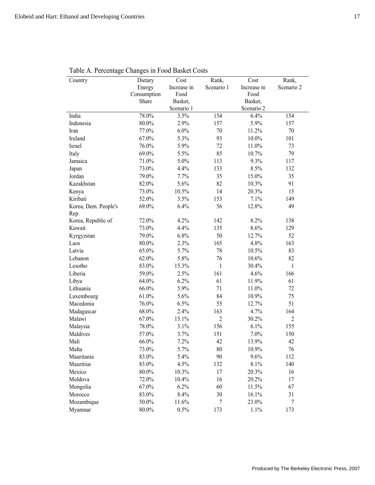| Country              | Dietary              | Cost                | Rank,          | Cost                | Rank,          |
|----------------------|----------------------|---------------------|----------------|---------------------|----------------|
|                      | Energy               | Increase in<br>Food | Scenario 1     | Increase in<br>Food | Scenario 2     |
|                      | Consumption<br>Share | Basket,             |                | Basket,             |                |
|                      |                      | Scenario 1          |                | Scenario 2          |                |
| India                | 78.0%                | 3.5%                | 154            | 6.4%                | 154            |
| Indonesia            | $80.0\%$             | 2.9%                | 157            | 5.9%                | 157            |
| Iran                 | 77.0%                | $6.0\%$             | 70             | 11.2%               | 70             |
| Ireland              | 67.0%                | 5.3%                | 93             | $10.0\%$            | 101            |
| Israel               | 76.0%                | 5.9%                | 72             | 11.0%               | 73             |
| Italy                | 69.0%                | 5.5%                | 85             | 10.7%               | 79             |
| Jamaica              | 71.0%                | 5.0%                | 113            | 9.3%                | 117            |
| Japan                | 73.0%                | 4.4%                | 133            | 8.5%                | 132            |
| Jordan               | 79.0%                | 7.7%                | 35             | 15.0%               | 35             |
| Kazakhstan           | 82.0%                | 5.6%                | 82             | 10.3%               | 91             |
| Kenya                | 73.0%                | 10.5%               | 14             | 20.3%               | 15             |
| Kiribati             | 52.0%                | 3.5%                | 153            | 7.1%                | 149            |
| Korea, Dem. People's | 69.0%                | 6.4%                | 56             | 12.8%               | 49             |
| Rep.                 |                      |                     |                |                     |                |
| Korea, Republic of   | 72.0%                | 4.2%                | 142            | 8.2%                | 138            |
| Kuwait               | 73.0%                | 4.4%                | 135            | 8.6%                | 129            |
| Kyrgyzstan           | 79.0%                | 6.8%                | 50             | 12.7%               | 52             |
| Laos                 | 80.0%                | 2.3%                | 165            | 4.8%                | 163            |
| Latvia               | 65.0%                | 5.7%                | 78             | 10.5%               | 83             |
| Lebanon              | 62.0%                | 5.8%                | 76             | 10.6%               | 82             |
| Lesotho              | 83.0%                | 15.3%               | $\mathbf{1}$   | 30.4%               | $\mathbf{1}$   |
| Liberia              | 59.0%                | 2.5%                | 161            | 4.6%                | 166            |
| Libya                | 64.0%                | 6.2%                | 61             | 11.9%               | 61             |
| Lithuania            | 66.0%                | 5.9%                | 71             | 11.0%               | 72             |
| Luxembourg           | 61.0%                | 5.6%                | 84             | 10.9%               | 75             |
| Macedonia            | 76.0%                | 6.5%                | 55             | 12.7%               | 51             |
| Madagascar           | 68.0%                | 2.4%                | 163            | 4.7%                | 164            |
| Malawi               | 67.0%                | 15.1%               | $\overline{2}$ | 30.2%               | $\overline{2}$ |
| Malaysia             | 78.0%                | 3.1%                | 156            | 6.1%                | 155            |
| Maldives             | 57.0%                | 3.7%                | 151            | 7.0%                | 150            |
| Mali                 | 66.0%                | 7.2%                | 42             | 13.9%               | 42             |
| Malta                | 73.0%                | 5.7%                | 80             | 10.9%               | $76\,$         |
| Mauritania           | 83.0%                | 5.4%                | 90             | 9.6%                | 112            |
| Mauritius            | 83.0%                | 4.5%                | 132            | 8.1%                | 140            |
| Mexico               | 80.0%                | 10.3%               | 17             | 20.3%               | 16             |
| Moldova              | 72.0%                | 10.4%               | 16             | 20.2%               | 17             |
| Mongolia             | 67.0%                | 6.2%                | 60             | 11.5%               | 67             |
| Morocco              | 83.0%                | 8.4%                | 30             | 16.1%               | 31             |
| Mozambique           | 50.0%                | 11.6%               | 7              | 23.0%               | $\tau$         |
| Myanmar              | 80.0%                | 0.5%                | 173            | 1.1%                | 173            |

Table A. Percentage Changes in Food Basket Costs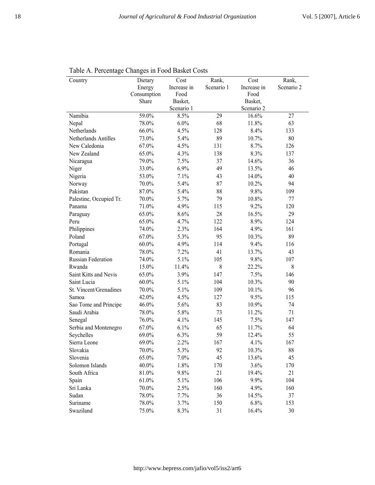| Country                 | Dietary     | Cost        | Rank,      | Cost        | Rank,      |
|-------------------------|-------------|-------------|------------|-------------|------------|
|                         | Energy      | Increase in | Scenario 1 | Increase in | Scenario 2 |
|                         | Consumption | Food        |            | Food        |            |
|                         | Share       | Basket,     |            | Basket,     |            |
|                         |             | Scenario 1  |            | Scenario 2  |            |
| Namibia                 | 59.0%       | 8.5%        | 29         | 16.6%       | 27         |
| Nepal                   | 78.0%       | 6.0%        | 68         | 11.8%       | 63         |
| Netherlands             | 66.0%       | 4.5%        | 128        | 8.4%        | 133        |
| Netherlands Antilles    | 73.0%       | 5.4%        | 89         | 10.7%       | 80         |
| New Caledonia           | 67.0%       | 4.5%        | 131        | 8.7%        | 126        |
| New Zealand             | 65.0%       | 4.3%        | 138        | 8.3%        | 137        |
| Nicaragua               | 79.0%       | 7.5%        | 37         | 14.6%       | 36         |
| Niger                   | 33.0%       | 6.9%        | 49         | 13.5%       | 46         |
| Nigeria                 | 53.0%       | 7.1%        | 43         | 14.0%       | 40         |
| Norway                  | $70.0\%$    | 5.4%        | 87         | 10.2%       | 94         |
| Pakistan                | 87.0%       | 5.4%        | 88         | 9.8%        | 109        |
| Palestine, Occupied Tr. | 70.0%       | 5.7%        | 79         | 10.8%       | 77         |
| Panama                  | 71.0%       | 4.9%        | 115        | 9.2%        | 120        |
| Paraguay                | 65.0%       | 8.6%        | 28         | 16.5%       | 29         |
| Peru                    | 65.0%       | 4.7%        | 122        | 8.9%        | 124        |
| Philippines             | 74.0%       | 2.3%        | 164        | 4.9%        | 161        |
| Poland                  | 67.0%       | 5.3%        | 95         | 10.3%       | 89         |
| Portugal                | $60.0\%$    | 4.9%        | 114        | 9.4%        | 116        |
| Romania                 | 78.0%       | 7.2%        | 41         | 13.7%       | 43         |
| Russian Federation      | 74.0%       | 5.1%        | 105        | 9.8%        | 107        |
| Rwanda                  | 15.0%       | 11.4%       | 8          | 22.2%       | 8          |
| Saint Kitts and Nevis   | 65.0%       | 3.9%        | 147        | 7.5%        | 146        |
| Saint Lucia             | $60.0\%$    | 5.1%        | 104        | 10.3%       | 90         |
| St. Vincent/Grenadines  | 70.0%       | 5.1%        | 109        | 10.1%       | 96         |
| Samoa                   | 42.0%       | 4.5%        | 127        | 9.5%        | 115        |
| Sao Tome and Principe   | 46.0%       | 5.6%        | 83         | 10.9%       | 74         |
| Saudi Arabia            | 78.0%       | 5.8%        | 73         | 11.2%       | 71         |
| Senegal                 | 76.0%       | 4.1%        | 145        | 7.5%        | 147        |
| Serbia and Montenegro   | 67.0%       | 6.1%        | 65         | 11.7%       | 64         |
| Seychelles              | 69.0%       | 6.3%        | 59         | 12.4%       | 55         |
| Sierra Leone            | 69.0%       | 2.2%        | 167        | 4.1%        | 167        |
| Slovakia                | 70.0%       | 5.3%        | 92         | 10.3%       | 88         |
| Slovenia                | 65.0%       | 7.0%        | 45         | 13.6%       | 45         |
| Solomon Islands         | 40.0%       | 1.8%        | 170        | 3.6%        | 170        |
| South Africa            | 81.0%       | 9.8%        | 21         | 19.4%       | 21         |
|                         |             |             |            |             |            |
| Spain                   | 61.0%       | 5.1%        | 106        | 9.9%        | 104        |
| Sri Lanka               | 70.0%       | 2.5%        | 160        | 4.9%        | 160        |
| Sudan                   | 78.0%       | 7.7%        | 36         | 14.5%       | 37         |
| Suriname                | 78.0%       | 3.7%        | 150        | 6.8%        | 153        |
| Swaziland               | 75.0%       | 8.3%        | 31         | 16.4%       | 30         |

Table A. Percentage Changes in Food Basket Costs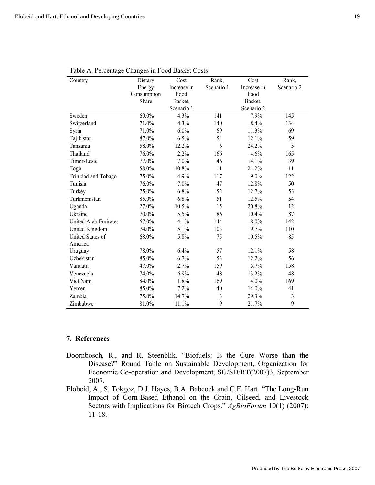l,

| Table A. Percentage Changes in Food Basket Costs<br>Country | Dietary     | Cost        | Rank,      | Cost        | Rank,      |
|-------------------------------------------------------------|-------------|-------------|------------|-------------|------------|
|                                                             | Energy      | Increase in | Scenario 1 | Increase in | Scenario 2 |
|                                                             | Consumption | Food        |            | Food        |            |
|                                                             | Share       | Basket,     |            | Basket,     |            |
|                                                             |             | Scenario 1  |            | Scenario 2  |            |
| Sweden                                                      | 69.0%       | 4.3%        | 141        | 7.9%        | 145        |
| Switzerland                                                 | 71.0%       | 4.3%        | 140        | 8.4%        | 134        |
| Syria                                                       | 71.0%       | 6.0%        | 69         | 11.3%       | 69         |
| Tajikistan                                                  | 87.0%       | 6.5%        | 54         | 12.1%       | 59         |
| Tanzania                                                    | 58.0%       | 12.2%       | 6          | 24.2%       | 5          |
| Thailand                                                    | 76.0%       | 2.2%        | 166        | 4.6%        | 165        |
| Timor-Leste                                                 | 77.0%       | 7.0%        | 46         | 14.1%       | 39         |
| Togo                                                        | 58.0%       | 10.8%       | 11         | 21.2%       | 11         |
| Trinidad and Tobago                                         | 75.0%       | 4.9%        | 117        | 9.0%        | 122        |
| Tunisia                                                     | 76.0%       | 7.0%        | 47         | 12.8%       | 50         |
| Turkey                                                      | 75.0%       | 6.8%        | 52         | 12.7%       | 53         |
| Turkmenistan                                                | 85.0%       | 6.8%        | 51         | 12.5%       | 54         |
| Uganda                                                      | 27.0%       | 10.5%       | 15         | 20.8%       | 12         |
| Ukraine                                                     | 70.0%       | 5.5%        | 86         | 10.4%       | 87         |
| United Arab Emirates                                        | 67.0%       | 4.1%        | 144        | 8.0%        | 142        |
| United Kingdom                                              | 74.0%       | 5.1%        | 103        | 9.7%        | 110        |
| United States of                                            | 68.0%       | 5.8%        | 75         | 10.5%       | 85         |
| America                                                     |             |             |            |             |            |
| Uruguay                                                     | 78.0%       | 6.4%        | 57         | 12.1%       | 58         |
| Uzbekistan                                                  | 85.0%       | 6.7%        | 53         | 12.2%       | 56         |
| Vanuatu                                                     | 47.0%       | 2.7%        | 159        | 5.7%        | 158        |
| Venezuela                                                   | 74.0%       | 6.9%        | 48         | 13.2%       | 48         |
| Viet Nam                                                    | 84.0%       | 1.8%        | 169        | 4.0%        | 169        |
| Yemen                                                       | 85.0%       | 7.2%        | 40         | 14.0%       | 41         |
| Zambia                                                      | 75.0%       | 14.7%       | 3          | 29.3%       | 3          |
| Zimbabwe                                                    | 81.0%       | 11.1%       | 9          | 21.7%       | 9          |

 $\overline{a}$ 

## **7. References**

- Doornbosch, R., and R. Steenblik. "Biofuels: Is the Cure Worse than the Disease?" Round Table on Sustainable Development, Organization for Economic Co-operation and Development, SG/SD/RT(2007)3, September 2007.
- Elobeid, A., S. Tokgoz, D.J. Hayes, B.A. Babcock and C.E. Hart. "The Long-Run Impact of Corn-Based Ethanol on the Grain, Oilseed, and Livestock Sectors with Implications for Biotech Crops." *AgBioForum* 10(1) (2007): 11-18.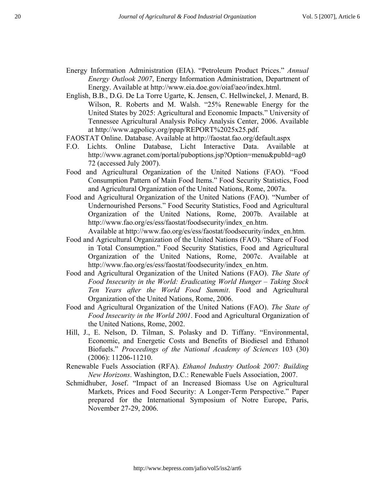- Energy Information Administration (EIA). "Petroleum Product Prices." *Annual Energy Outlook 2007*, Energy Information Administration, Department of Energy. Available at http://www.eia.doe.gov/oiaf/aeo/index.html.
- English, B.B., D.G. De La Torre Ugarte, K. Jensen, C. Hellwinckel, J. Menard, B. Wilson, R. Roberts and M. Walsh. "25% Renewable Energy for the United States by 2025: Agricultural and Economic Impacts." University of Tennessee Agricultural Analysis Policy Analysis Center, 2006. Available at http://www.agpolicy.org/ppap/REPORT%2025x25.pdf.
- FAOSTAT Online. Database. Available at http://faostat.fao.org/default.aspx
- F.O. Lichts. Online Database, Licht Interactive Data. Available at http://www.agranet.com/portal/puboptions.jsp?Option=menu&pubId=ag0 72 (accessed July 2007).
- Food and Agricultural Organization of the United Nations (FAO). "Food Consumption Pattern of Main Food Items." Food Security Statistics, Food and Agricultural Organization of the United Nations, Rome, 2007a.
- Food and Agricultural Organization of the United Nations (FAO). "Number of Undernourished Persons." Food Security Statistics, Food and Agricultural Organization of the United Nations, Rome, 2007b. Available at http://www.fao.org/es/ess/faostat/foodsecurity/index\_en.htm. Available at http://www.fao.org/es/ess/faostat/foodsecurity/index\_en.htm.
- Food and Agricultural Organization of the United Nations (FAO). "Share of Food in Total Consumption." Food Security Statistics, Food and Agricultural Organization of the United Nations, Rome, 2007c. Available at http://www.fao.org/es/ess/faostat/foodsecurity/index\_en.htm.
- Food and Agricultural Organization of the United Nations (FAO). *The State of Food Insecurity in the World: Eradicating World Hunger – Taking Stock Ten Years after the World Food Summit*. Food and Agricultural Organization of the United Nations, Rome, 2006.
- Food and Agricultural Organization of the United Nations (FAO). *The State of Food Insecurity in the World 2001*. Food and Agricultural Organization of the United Nations, Rome, 2002.
- Hill, J., E. Nelson, D. Tilman, S. Polasky and D. Tiffany. "Environmental, Economic, and Energetic Costs and Benefits of Biodiesel and Ethanol Biofuels." *Proceedings of the National Academy of Sciences* 103 (30) (2006): 11206-11210.
- Renewable Fuels Association (RFA). *Ethanol Industry Outlook 2007: Building New Horizons*. Washington, D.C.: Renewable Fuels Association, 2007.
- Schmidhuber, Josef. "Impact of an Increased Biomass Use on Agricultural Markets, Prices and Food Security: A Longer-Term Perspective." Paper prepared for the International Symposium of Notre Europe, Paris, November 27-29, 2006.